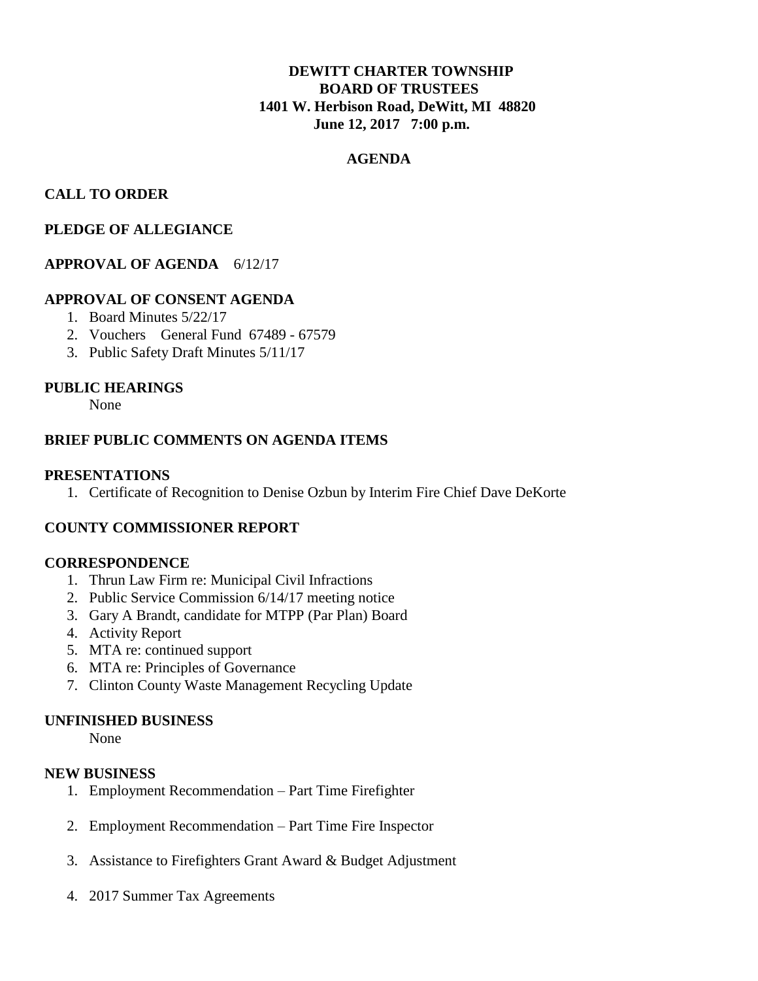# **DEWITT CHARTER TOWNSHIP BOARD OF TRUSTEES 1401 W. Herbison Road, DeWitt, MI 48820 June 12, 2017 7:00 p.m.**

# **AGENDA**

# **CALL TO ORDER**

### **PLEDGE OF ALLEGIANCE**

## **APPROVAL OF AGENDA** 6/12/17

### **APPROVAL OF CONSENT AGENDA**

- 1. Board Minutes 5/22/17
- 2. Vouchers General Fund 67489 67579
- 3. Public Safety Draft Minutes 5/11/17

#### **PUBLIC HEARINGS**

None

### **BRIEF PUBLIC COMMENTS ON AGENDA ITEMS**

#### **PRESENTATIONS**

1. Certificate of Recognition to Denise Ozbun by Interim Fire Chief Dave DeKorte

## **COUNTY COMMISSIONER REPORT**

#### **CORRESPONDENCE**

- 1. Thrun Law Firm re: Municipal Civil Infractions
- 2. Public Service Commission 6/14/17 meeting notice
- 3. Gary A Brandt, candidate for MTPP (Par Plan) Board
- 4. Activity Report
- 5. MTA re: continued support
- 6. MTA re: Principles of Governance
- 7. Clinton County Waste Management Recycling Update

#### **UNFINISHED BUSINESS**

None

#### **NEW BUSINESS**

- 1. Employment Recommendation Part Time Firefighter
- 2. Employment Recommendation Part Time Fire Inspector
- 3. Assistance to Firefighters Grant Award & Budget Adjustment
- 4. 2017 Summer Tax Agreements